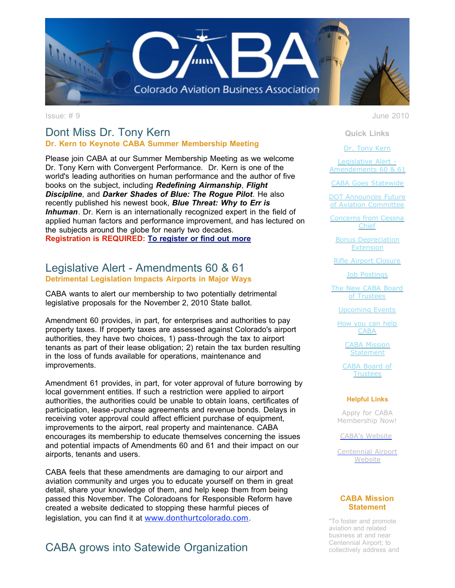

### Dont Miss Dr. Tony Kern **Dr. Kern to Keynote CABA Summer Membership Meeting**

Please join CABA at our Summer Membership Meeting as we welcome Dr. Tony Kern with Convergent Performance. Dr. Kern is one of the world's leading authorities on human performance and the author of five books on the subject, including *Redefining Airmanship*, *Flight Discipline,* and *Darker Shades of Blue: The Rogue Pilot.* He also recently published his newest book, *Blue Threat: Why to Err is Inhuman*. Dr. Kern is an internationally recognized expert in the field of applied human factors and performance improvement, and has lectured on the subjects around the globe for nearly two decades. **Registration is REQUIRED: [To register or find out more](http://r20.rs6.net/tn.jsp?llr=tkebgpcab&et=1103455548045&s=0&e=001nDmX5NLQT3hBXWwKnLzBRKKz0VX58JtM7h0pSbYnYX3v6uTijA8tfKPZh6wC2ASmmMKS3ZhU7OMQrmdVuYwsiP0dUmMBEGMXYiy-344hhckhkwfDrEEeAXuKjenEhstRzmdYYBy9GTMkq1HOyffa-XcTmxupTLw2n3-j9Swtl2Gv6JFKS-30Xw==)**

### Legislative Alert - Amendments 60 & 61 **Detrimental Legislation Impacts Airports in Major Ways**

CABA wants to alert our membership to two potentially detrimental legislative proposals for the November 2, 2010 State ballot.

Amendment 60 provides, in part, for enterprises and authorities to pay property taxes. If property taxes are assessed against Colorado's airport authorities, they have two choices, 1) pass-through the tax to airport tenants as part of their lease obligation; 2) retain the tax burden resulting in the loss of funds available for operations, maintenance and improvements.

Amendment 61 provides, in part, for voter approval of future borrowing by local government entities. If such a restriction were applied to airport authorities, the authorities could be unable to obtain loans, certificates of participation, lease-purchase agreements and revenue bonds. Delays in receiving voter approval could affect efficient purchase of equipment, improvements to the airport, real property and maintenance. CABA encourages its membership to educate themselves concerning the issues and potential impacts of Amendments 60 and 61 and their impact on our airports, tenants and users.

CABA feels that these amendments are damaging to our airport and aviation community and urges you to educate yourself on them in great detail, share your knowledge of them, and help keep them from being passed this November. The Coloradoans for Responsible Reform have created a website dedicated to stopping these harmful pieces of legislation, you can find it at [www.donthurtcolorado.com](http://r20.rs6.net/tn.jsp?llr=tkebgpcab&et=1103455548045&s=0&e=001nDmX5NLQT3hBXWwKnLzBRKKz0VX58JtM7h0pSbYnYX3v6uTijA8tfKPZh6wC2ASmmMKS3ZhU7OPyM4a0Ez3dWZBg9kNjhYhdrMgo79yHcsroQ6gLMJL1EHzhfkHq6R0V).

# CABA grows into Satewide Organization

Issue: # 9 June 2010

**Quick Links**

[Dr. Tony Kern](https://ui.constantcontact.com/visualeditor/visual_editor_preview.jsp?agent.uid=1103455548045&format=html&printFrame=true#LETTER.BLOCK13)

Legislative Alert [Amendements 60 & 61](https://ui.constantcontact.com/visualeditor/visual_editor_preview.jsp?agent.uid=1103455548045&format=html&printFrame=true#LETTER.BLOCK34)

[CABA Goes Statewide](https://ui.constantcontact.com/visualeditor/visual_editor_preview.jsp?agent.uid=1103455548045&format=html&printFrame=true#LETTER.BLOCK33)

[DOT Announces Future](https://ui.constantcontact.com/visualeditor/visual_editor_preview.jsp?agent.uid=1103455548045&format=html&printFrame=true#LETTER.BLOCK5) of Aviation Committee

[Concerns from Cessna](https://ui.constantcontact.com/visualeditor/visual_editor_preview.jsp?agent.uid=1103455548045&format=html&printFrame=true#LETTER.BLOCK7) Chief

[Bonus Depreciation](https://ui.constantcontact.com/visualeditor/visual_editor_preview.jsp?agent.uid=1103455548045&format=html&printFrame=true#LETTER.BLOCK11) **Extension** 

[Rifle Airport Closure](https://ui.constantcontact.com/visualeditor/visual_editor_preview.jsp?agent.uid=1103455548045&format=html&printFrame=true#LETTER.BLOCK15)

[Job Postings](https://ui.constantcontact.com/visualeditor/visual_editor_preview.jsp?agent.uid=1103455548045&format=html&printFrame=true#LETTER.BLOCK17)

[The New CABA Board](https://ui.constantcontact.com/visualeditor/visual_editor_preview.jsp?agent.uid=1103455548045&format=html&printFrame=true#LETTER.BLOCK9) of Trustees

[Upcoming Events](https://ui.constantcontact.com/visualeditor/visual_editor_preview.jsp?agent.uid=1103455548045&format=html&printFrame=true#LETTER.BLOCK19)

[How you can help](https://ui.constantcontact.com/visualeditor/visual_editor_preview.jsp?agent.uid=1103455548045&format=html&printFrame=true#LETTER.BLOCK21) CABA

> [CABA Mission](https://ui.constantcontact.com/visualeditor/visual_editor_preview.jsp?agent.uid=1103455548045&format=html&printFrame=true#LETTER.BLOCK28) **Statement**

[CABA Board of](https://ui.constantcontact.com/visualeditor/visual_editor_preview.jsp?agent.uid=1103455548045&format=html&printFrame=true#LETTER.BLOCK30) **Trustees** 

#### **Helpful Links**

Apply for CABA [Membership Now!](http://r20.rs6.net/tn.jsp?llr=tkebgpcab&et=1103455548045&s=0&e=001nDmX5NLQT3hBXWwKnLzBRKKz0VX58JtM7h0pSbYnYX3v6uTijA8tfKPZh6wC2ASmmMKS3ZhU7OPyM4a0Ez3dWSm29LH2_W5GLbJVJsBMTK1FHJnd5Aslq3nsYkOHyFC3eKEBwMVla1smrRFX01tBYA==)

[CABA's Website](http://r20.rs6.net/tn.jsp?llr=tkebgpcab&et=1103455548045&s=0&e=001nDmX5NLQT3hBXWwKnLzBRKKz0VX58JtM7h0pSbYnYX3v6uTijA8tfKPZh6wC2ASmmMKS3ZhU7OPyM4a0Ez3dWSm29LH2_W5GLbJVJsBMTK1zsoNVQ-Ie8Q==)

[Centennial Airport](http://r20.rs6.net/tn.jsp?llr=tkebgpcab&et=1103455548045&s=0&e=001nDmX5NLQT3hBXWwKnLzBRKKz0VX58JtM7h0pSbYnYX3v6uTijA8tfKPZh6wC2ASmmMKS3ZhU7OPyM4a0Ez3dWWM547ogjH5M62E3_Slb5TOcL214Sf5VVYr6Fcbji1Jo) Website

#### **CABA Mission Statement**

"To foster and promote aviation and related business at and near Centennial Airport; to collectively address and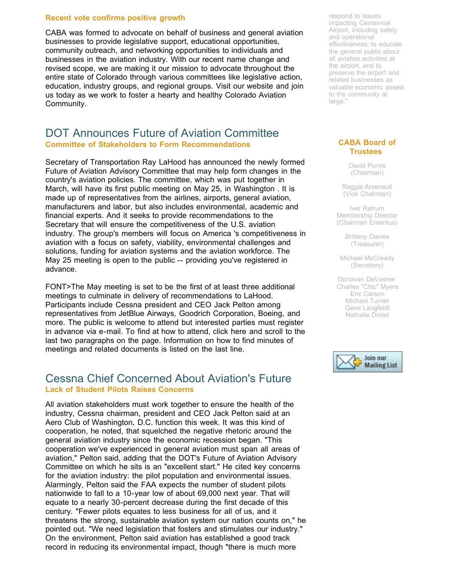#### **Recent vote confirms positive growth**

CABA was formed to advocate on behalf of business and general aviation businesses to provide legislative support, educational opportunities, community outreach, and networking opportunities to individuals and businesses in the aviation industry. With our recent name change and revised scope, we are making it our mission to advocate throughout the entire state of Colorado through various committees like legislative action, education, industry groups, and regional groups. Visit our website and join us today as we work to foster a hearty and healthy Colorado Aviation Community.

### DOT Announces Future of Aviation Committee **Committee of Stakeholders to Form Recommendations**

Secretary of Transportation Ray LaHood has announced the newly formed Future of Aviation Advisory Committee that may help form changes in the country's aviation policies. The committee, which was put together in March, will have its first public meeting on May 25, in Washington . It is made up of representatives from the airlines, airports, general aviation, manufacturers and labor, but also includes environmental, academic and financial experts. And it seeks to provide recommendations to the Secretary that will ensure the competitiveness of the U.S. aviation industry. The group's members will focus on America 's competitiveness in aviation with a focus on safety, viability, environmental challenges and solutions, funding for aviation systems and the aviation workforce. The May 25 meeting is open to the public -- providing you've registered in advance.

FONT>The May meeting is set to be the first of at least three additional meetings to culminate in delivery of recommendations to LaHood. Participants include Cessna president and CEO Jack Pelton among representatives from JetBlue Airways, Goodrich Corporation, Boeing, and more. The public is welcome to attend but interested parties must register in advance via e-mail. To find at how to attend, click here and scroll to the last two paragraphs on the page. Information on how to find minutes of meetings and related documents is listed on the last line.

### Cessna Chief Concerned About Aviation's Future **Lack of Student Pilots Raises Concerns**

All aviation stakeholders must work together to ensure the health of the industry, Cessna chairman, president and CEO Jack Pelton said at an Aero Club of Washington, D.C. function this week. It was this kind of cooperation, he noted, that squelched the negative rhetoric around the general aviation industry since the economic recession began. "This cooperation we've experienced in general aviation must span all areas of aviation," Pelton said, adding that the DOT's Future of Aviation Advisory Committee on which he sits is an "excellent start." He cited key concerns for the aviation industry: the pilot population and environmental issues. Alarmingly, Pelton said the FAA expects the number of student pilots nationwide to fall to a 10-year low of about 69,000 next year. That will equate to a nearly 30-percent decrease during the first decade of this century. "Fewer pilots equates to less business for all of us, and it threatens the strong, sustainable aviation system our nation counts on," he pointed out. "We need legislation that fosters and stimulates our industry." On the environment, Pelton said aviation has established a good track record in reducing its environmental impact, though "there is much more

respond to issues impacting Centennial Airport, including safety and operational effectiveness; to educate the general public about all aviation activities at the airport, and to preserve the airport and related businesses as valuable economic assets to the community at large."

#### **CABA Board of Trustees**

David Purvis (Chairman)

Reggie Arsenault (Vice Chairman)

Iver Retrum Membership Director (Chairman Emeritus)

> Brittany Davies (Treasurer)

Michael McCready (Secretary)

Donovan DeVasher Charles "Chic" Myers Eric Carson Michael Turner Gene Langfeldt Nathalie Drolet

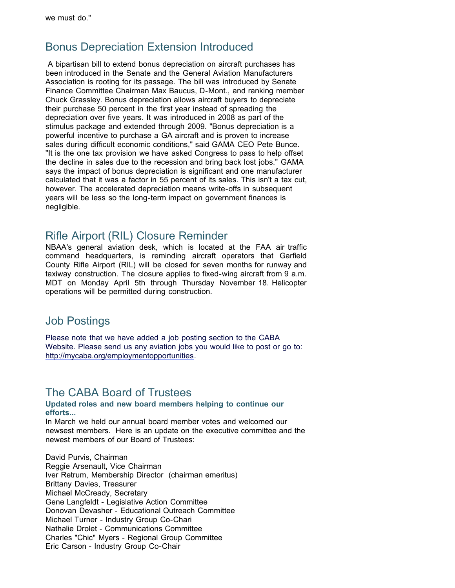# Bonus Depreciation Extension Introduced

 A bipartisan bill to extend bonus depreciation on aircraft purchases has been introduced in the Senate and the General Aviation Manufacturers Association is rooting for its passage. The bill was introduced by Senate Finance Committee Chairman Max Baucus, D-Mont., and ranking member Chuck Grassley. Bonus depreciation allows aircraft buyers to depreciate their purchase 50 percent in the first year instead of spreading the depreciation over five years. It was introduced in 2008 as part of the stimulus package and extended through 2009. "Bonus depreciation is a powerful incentive to purchase a GA aircraft and is proven to increase sales during difficult economic conditions," said GAMA CEO Pete Bunce. "It is the one tax provision we have asked Congress to pass to help offset the decline in sales due to the recession and bring back lost jobs." GAMA says the impact of bonus depreciation is significant and one manufacturer calculated that it was a factor in 55 percent of its sales. This isn't a tax cut, however. The accelerated depreciation means write-offs in subsequent years will be less so the long-term impact on government finances is negligible.

## Rifle Airport (RIL) Closure Reminder

NBAA's general aviation desk, which is located at the FAA air traffic command headquarters, is reminding aircraft operators that Garfield County Rifle Airport (RIL) will be closed for seven months for runway and taxiway construction. The closure applies to fixed-wing aircraft from 9 a.m. MDT on Monday April 5th through Thursday November 18. Helicopter operations will be permitted during construction.

## Job Postings

Please note that we have added a job posting section to the CABA Website. Please send us any aviation jobs you would like to post or go to: [http://mycaba.org/employmentopportunities](http://r20.rs6.net/tn.jsp?llr=tkebgpcab&et=1103455548045&s=0&e=001nDmX5NLQT3hBXWwKnLzBRKKz0VX58JtM7h0pSbYnYX3v6uTijA8tfKPZh6wC2ASmmMKS3ZhU7OMQrmdVuYwsiP0dUmMBEGMXrtCTM2mugpUCXZ7omoz9uU7u-Tm9nTghNSZpnWFuBoc=).

## The CABA Board of Trustees

### **Updated roles and new board members helping to continue our efforts...**

In March we held our annual board member votes and welcomed our newsest members. Here is an update on the executive committee and the newest members of our Board of Trustees:

David Purvis, Chairman Reggie Arsenault, Vice Chairman Iver Retrum, Membership Director (chairman emeritus) Brittany Davies, Treasurer Michael McCready, Secretary Gene Langfeldt - Legislative Action Committee Donovan Devasher - Educational Outreach Committee Michael Turner - Industry Group Co-Chari Nathalie Drolet - Communications Committee Charles "Chic" Myers - Regional Group Committee Eric Carson - Industry Group Co-Chair